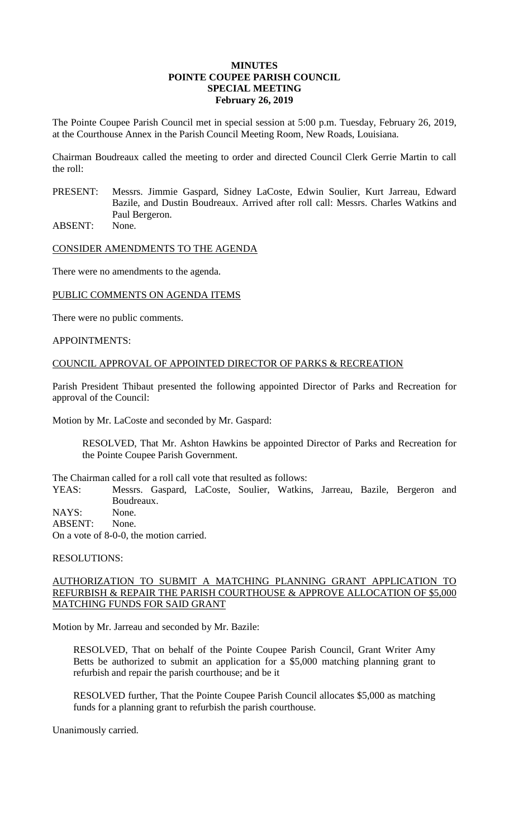#### **MINUTES POINTE COUPEE PARISH COUNCIL SPECIAL MEETING February 26, 2019**

The Pointe Coupee Parish Council met in special session at 5:00 p.m. Tuesday, February 26, 2019, at the Courthouse Annex in the Parish Council Meeting Room, New Roads, Louisiana.

Chairman Boudreaux called the meeting to order and directed Council Clerk Gerrie Martin to call the roll:

PRESENT: Messrs. Jimmie Gaspard, Sidney LaCoste, Edwin Soulier, Kurt Jarreau, Edward Bazile, and Dustin Boudreaux. Arrived after roll call: Messrs. Charles Watkins and Paul Bergeron.

ABSENT: None.

CONSIDER AMENDMENTS TO THE AGENDA

There were no amendments to the agenda.

PUBLIC COMMENTS ON AGENDA ITEMS

There were no public comments.

APPOINTMENTS:

### COUNCIL APPROVAL OF APPOINTED DIRECTOR OF PARKS & RECREATION

Parish President Thibaut presented the following appointed Director of Parks and Recreation for approval of the Council:

Motion by Mr. LaCoste and seconded by Mr. Gaspard:

RESOLVED, That Mr. Ashton Hawkins be appointed Director of Parks and Recreation for the Pointe Coupee Parish Government.

The Chairman called for a roll call vote that resulted as follows:<br>YEAS: Messrs. Gaspard, LaCoste, Soulier, Watkins

Messrs. Gaspard, LaCoste, Soulier, Watkins, Jarreau, Bazile, Bergeron and Boudreaux.

NAYS: None. ABSENT: None.

On a vote of 8-0-0, the motion carried.

RESOLUTIONS:

### AUTHORIZATION TO SUBMIT A MATCHING PLANNING GRANT APPLICATION TO REFURBISH & REPAIR THE PARISH COURTHOUSE & APPROVE ALLOCATION OF \$5,000 MATCHING FUNDS FOR SAID GRANT

Motion by Mr. Jarreau and seconded by Mr. Bazile:

RESOLVED, That on behalf of the Pointe Coupee Parish Council, Grant Writer Amy Betts be authorized to submit an application for a \$5,000 matching planning grant to refurbish and repair the parish courthouse; and be it

RESOLVED further, That the Pointe Coupee Parish Council allocates \$5,000 as matching funds for a planning grant to refurbish the parish courthouse.

Unanimously carried.